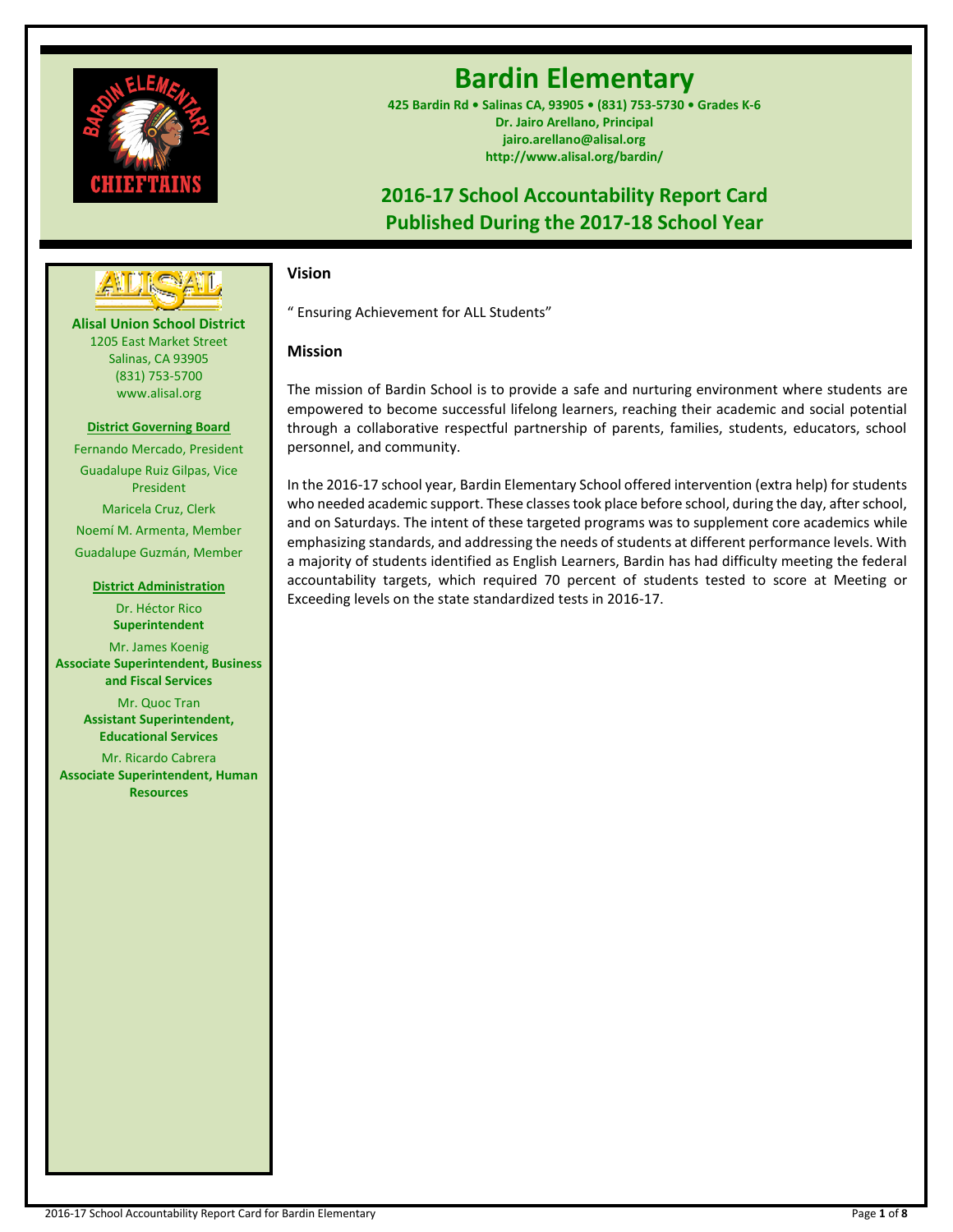

# **Bardin Elementary**

**425 Bardin Rd • Salinas CA, 93905 • (831) 753-5730 • Grades K-6 Dr. Jairo Arellano, Principal jairo.arellano@alisal.org http://www.alisal.org/bardin/**

## **2016-17 School Accountability Report Card Published During the 2017-18 School Year**



**Alisal Union School District** 1205 East Market Street Salinas, CA 93905 (831) 753-5700 www.alisal.org

### **District Governing Board**

Fernando Mercado, President Guadalupe Ruiz Gilpas, Vice President Maricela Cruz, Clerk Noemí M. Armenta, Member Guadalupe Guzmán, Member

#### **District Administration**

Dr. Héctor Rico **Superintendent** Mr. James Koenig **Associate Superintendent, Business and Fiscal Services** Mr. Quoc Tran **Assistant Superintendent, Educational Services**

Mr. Ricardo Cabrera **Associate Superintendent, Human Resources**

## **Vision**

" Ensuring Achievement for ALL Students"

## **Mission**

The mission of Bardin School is to provide a safe and nurturing environment where students are empowered to become successful lifelong learners, reaching their academic and social potential through a collaborative respectful partnership of parents, families, students, educators, school personnel, and community.

In the 2016-17 school year, Bardin Elementary School offered intervention (extra help) for students who needed academic support. These classes took place before school, during the day, after school, and on Saturdays. The intent of these targeted programs was to supplement core academics while emphasizing standards, and addressing the needs of students at different performance levels. With a majority of students identified as English Learners, Bardin has had difficulty meeting the federal accountability targets, which required 70 percent of students tested to score at Meeting or Exceeding levels on the state standardized tests in 2016-17.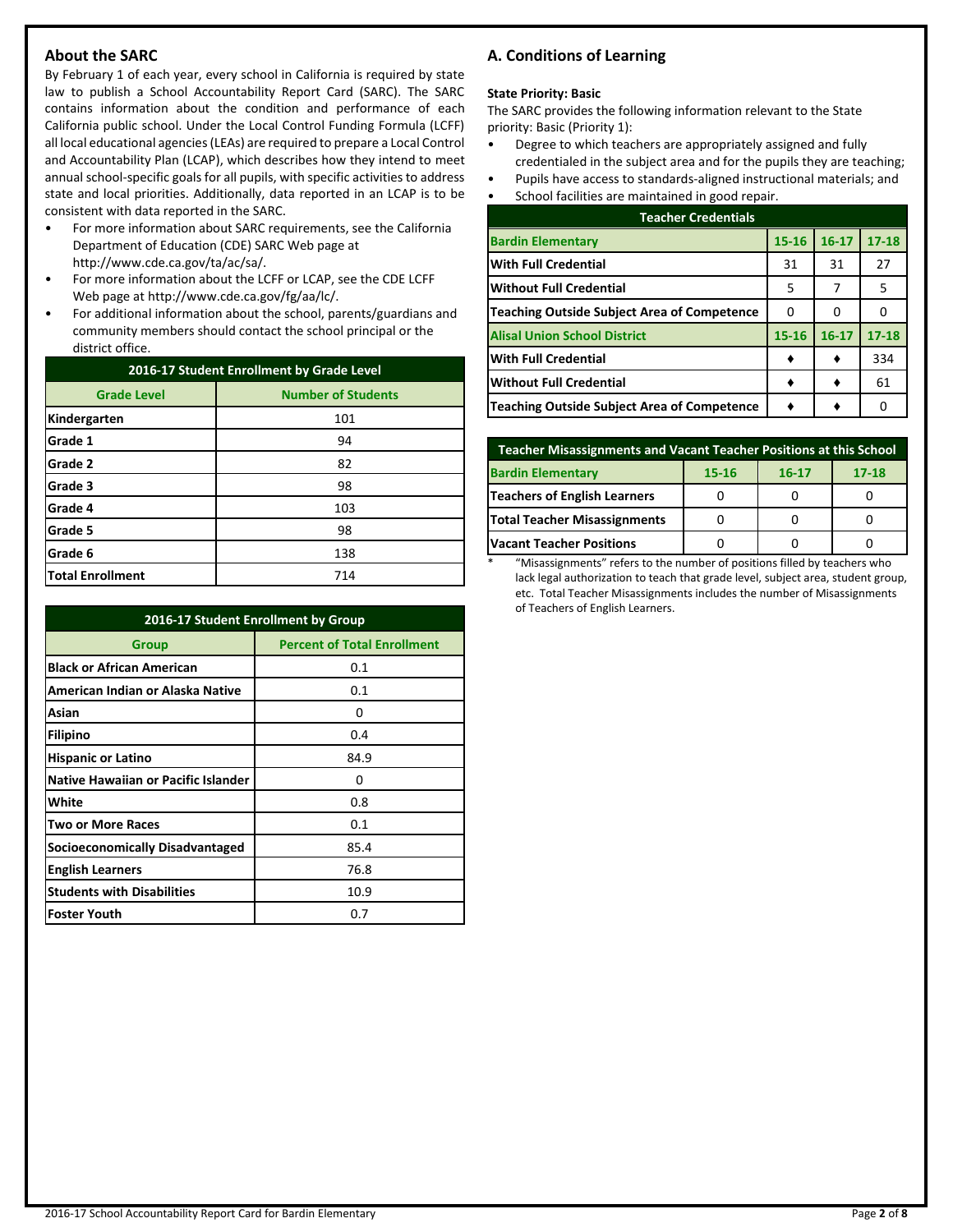## **About the SARC**

By February 1 of each year, every school in California is required by state law to publish a School Accountability Report Card (SARC). The SARC contains information about the condition and performance of each California public school. Under the Local Control Funding Formula (LCFF) all local educational agencies (LEAs) are required to prepare a Local Control and Accountability Plan (LCAP), which describes how they intend to meet annual school-specific goals for all pupils, with specific activities to address state and local priorities. Additionally, data reported in an LCAP is to be consistent with data reported in the SARC.

- For more information about SARC requirements, see the California Department of Education (CDE) SARC Web page at http://www.cde.ca.gov/ta/ac/sa/.
- For more information about the LCFF or LCAP, see the CDE LCFF Web page at http://www.cde.ca.gov/fg/aa/lc/.
- For additional information about the school, parents/guardians and community members should contact the school principal or the district office.

| 2016-17 Student Enrollment by Grade Level |                           |  |  |  |
|-------------------------------------------|---------------------------|--|--|--|
| <b>Grade Level</b>                        | <b>Number of Students</b> |  |  |  |
| Kindergarten                              | 101                       |  |  |  |
| Grade 1                                   | 94                        |  |  |  |
| Grade 2                                   | 82                        |  |  |  |
| Grade 3                                   | 98                        |  |  |  |
| Grade 4                                   | 103                       |  |  |  |
| Grade 5                                   | 98                        |  |  |  |
| Grade 6                                   | 138                       |  |  |  |
| <b>Total Enrollment</b>                   | 714                       |  |  |  |

|                                            | 2016-17 Student Enrollment by Group |  |  |  |  |
|--------------------------------------------|-------------------------------------|--|--|--|--|
| Group                                      | <b>Percent of Total Enrollment</b>  |  |  |  |  |
| <b>Black or African American</b>           | 0.1                                 |  |  |  |  |
| American Indian or Alaska Native           | 0.1                                 |  |  |  |  |
| Asian                                      | O                                   |  |  |  |  |
| Filipino                                   | 0.4                                 |  |  |  |  |
| <b>Hispanic or Latino</b>                  | 84.9                                |  |  |  |  |
| <b>Native Hawaiian or Pacific Islander</b> | 0                                   |  |  |  |  |
| White                                      | 0.8                                 |  |  |  |  |
| <b>Two or More Races</b>                   | 0.1                                 |  |  |  |  |
| Socioeconomically Disadvantaged            | 85.4                                |  |  |  |  |
| <b>English Learners</b>                    | 76.8                                |  |  |  |  |
| <b>Students with Disabilities</b>          | 10.9                                |  |  |  |  |
| <b>Foster Youth</b>                        | 0.7                                 |  |  |  |  |

## **A. Conditions of Learning**

#### **State Priority: Basic**

The SARC provides the following information relevant to the State priority: Basic (Priority 1):

- Degree to which teachers are appropriately assigned and fully credentialed in the subject area and for the pupils they are teaching;
- Pupils have access to standards-aligned instructional materials; and
- School facilities are maintained in good repair.

| <b>Teacher Credentials</b>                         |           |           |           |  |  |  |
|----------------------------------------------------|-----------|-----------|-----------|--|--|--|
| <b>Bardin Elementary</b>                           | $15 - 16$ | $16 - 17$ | $17 - 18$ |  |  |  |
| <b>With Full Credential</b>                        | 31        | 31        | 27        |  |  |  |
| <b>Without Full Credential</b>                     | 5         | 7         | 5         |  |  |  |
| <b>Teaching Outside Subject Area of Competence</b> | 0         | 0         |           |  |  |  |
| <b>Alisal Union School District</b>                | $15 - 16$ | $16 - 17$ | $17 - 18$ |  |  |  |
| <b>With Full Credential</b>                        |           |           | 334       |  |  |  |
| <b>Without Full Credential</b>                     |           |           | 61        |  |  |  |
| <b>Teaching Outside Subject Area of Competence</b> |           |           |           |  |  |  |

| Teacher Misassignments and Vacant Teacher Positions at this School |  |  |  |  |  |  |  |
|--------------------------------------------------------------------|--|--|--|--|--|--|--|
| <b>Bardin Elementary</b><br>$17 - 18$<br>15-16<br>$16 - 17$        |  |  |  |  |  |  |  |
| <b>Teachers of English Learners</b>                                |  |  |  |  |  |  |  |
| Total Teacher Misassignments                                       |  |  |  |  |  |  |  |
| <b>Vacant Teacher Positions</b>                                    |  |  |  |  |  |  |  |

\* "Misassignments" refers to the number of positions filled by teachers who lack legal authorization to teach that grade level, subject area, student group, etc. Total Teacher Misassignments includes the number of Misassignments of Teachers of English Learners.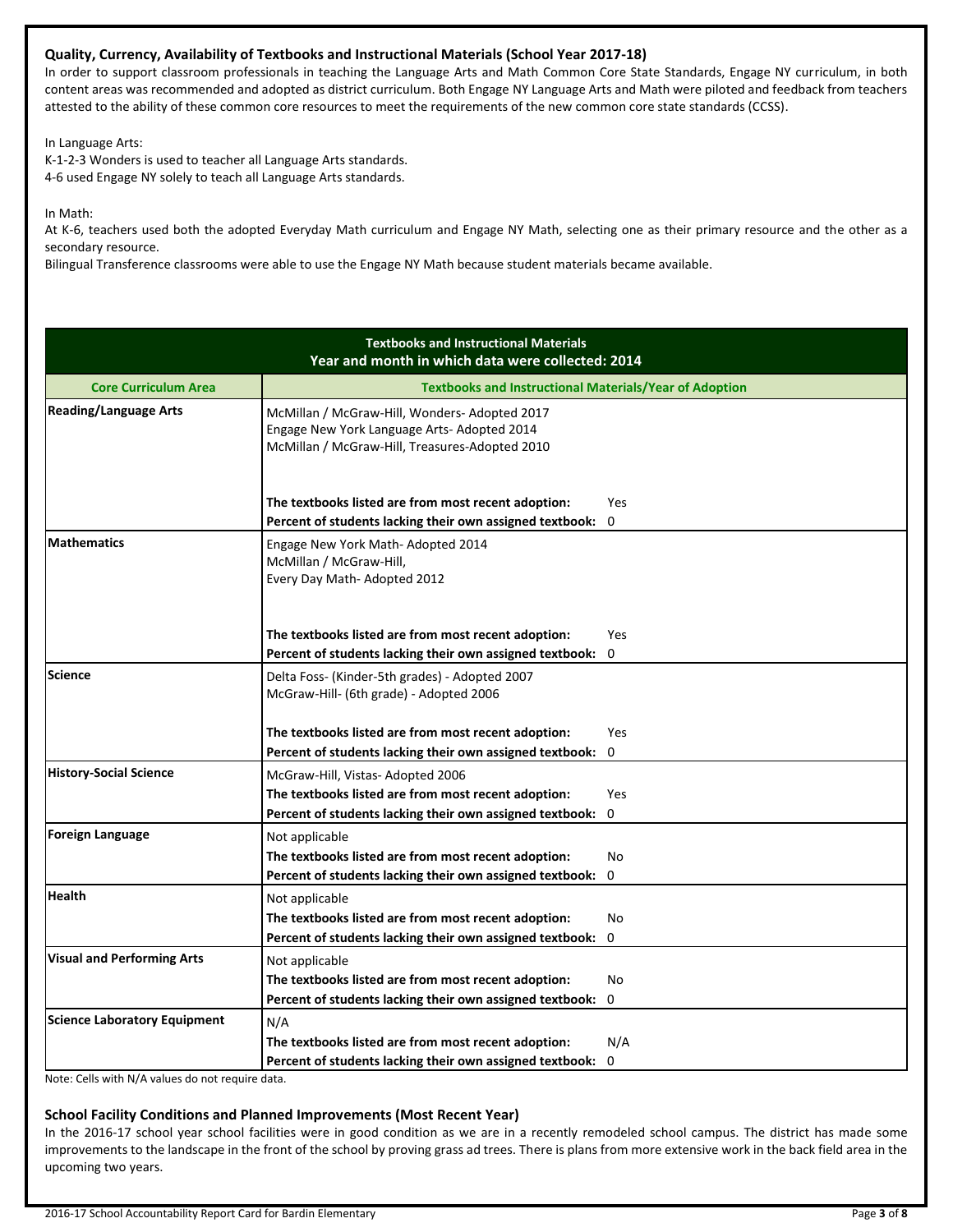## **Quality, Currency, Availability of Textbooks and Instructional Materials (School Year 2017-18)**

In order to support classroom professionals in teaching the Language Arts and Math Common Core State Standards, Engage NY curriculum, in both content areas was recommended and adopted as district curriculum. Both Engage NY Language Arts and Math were piloted and feedback from teachers attested to the ability of these common core resources to meet the requirements of the new common core state standards (CCSS).

In Language Arts:

K-1-2-3 Wonders is used to teacher all Language Arts standards. 4-6 used Engage NY solely to teach all Language Arts standards.

In Math:

At K-6, teachers used both the adopted Everyday Math curriculum and Engage NY Math, selecting one as their primary resource and the other as a secondary resource.

Bilingual Transference classrooms were able to use the Engage NY Math because student materials became available.

|                                   | <b>Textbooks and Instructional Materials</b><br>Year and month in which data were collected: 2014                                             |             |  |  |  |  |
|-----------------------------------|-----------------------------------------------------------------------------------------------------------------------------------------------|-------------|--|--|--|--|
| <b>Core Curriculum Area</b>       | <b>Textbooks and Instructional Materials/Year of Adoption</b>                                                                                 |             |  |  |  |  |
| <b>Reading/Language Arts</b>      | McMillan / McGraw-Hill, Wonders-Adopted 2017<br>Engage New York Language Arts- Adopted 2014<br>McMillan / McGraw-Hill, Treasures-Adopted 2010 |             |  |  |  |  |
|                                   | The textbooks listed are from most recent adoption:<br>Percent of students lacking their own assigned textbook:                               | Yes<br>0    |  |  |  |  |
| <b>Mathematics</b>                | Engage New York Math- Adopted 2014<br>McMillan / McGraw-Hill,<br>Every Day Math-Adopted 2012                                                  |             |  |  |  |  |
|                                   | The textbooks listed are from most recent adoption:                                                                                           | <b>Yes</b>  |  |  |  |  |
|                                   | Percent of students lacking their own assigned textbook:                                                                                      | 0           |  |  |  |  |
| Science                           | Delta Foss- (Kinder-5th grades) - Adopted 2007<br>McGraw-Hill- (6th grade) - Adopted 2006                                                     |             |  |  |  |  |
|                                   | The textbooks listed are from most recent adoption:                                                                                           | Yes         |  |  |  |  |
|                                   | Percent of students lacking their own assigned textbook:                                                                                      | $\mathbf 0$ |  |  |  |  |
| <b>History-Social Science</b>     | McGraw-Hill, Vistas-Adopted 2006                                                                                                              |             |  |  |  |  |
|                                   | The textbooks listed are from most recent adoption:                                                                                           | Yes         |  |  |  |  |
|                                   | Percent of students lacking their own assigned textbook:                                                                                      | $\Omega$    |  |  |  |  |
| <b>Foreign Language</b>           | Not applicable                                                                                                                                |             |  |  |  |  |
|                                   | The textbooks listed are from most recent adoption:                                                                                           | No          |  |  |  |  |
|                                   | Percent of students lacking their own assigned textbook:                                                                                      | 0           |  |  |  |  |
| <b>Health</b>                     | Not applicable                                                                                                                                |             |  |  |  |  |
|                                   | The textbooks listed are from most recent adoption:                                                                                           | No.         |  |  |  |  |
|                                   | Percent of students lacking their own assigned textbook:                                                                                      | 0           |  |  |  |  |
| <b>Visual and Performing Arts</b> | Not applicable                                                                                                                                |             |  |  |  |  |
|                                   | The textbooks listed are from most recent adoption:                                                                                           | <b>No</b>   |  |  |  |  |
|                                   | Percent of students lacking their own assigned textbook:                                                                                      | 0           |  |  |  |  |
| Science Laboratory Equipment      | N/A                                                                                                                                           |             |  |  |  |  |
|                                   | The textbooks listed are from most recent adoption:                                                                                           | N/A         |  |  |  |  |
|                                   | Percent of students lacking their own assigned textbook:                                                                                      | 0           |  |  |  |  |

Note: Cells with N/A values do not require data.

#### **School Facility Conditions and Planned Improvements (Most Recent Year)**

In the 2016-17 school year school facilities were in good condition as we are in a recently remodeled school campus. The district has made some improvements to the landscape in the front of the school by proving grass ad trees. There is plans from more extensive work in the back field area in the upcoming two years.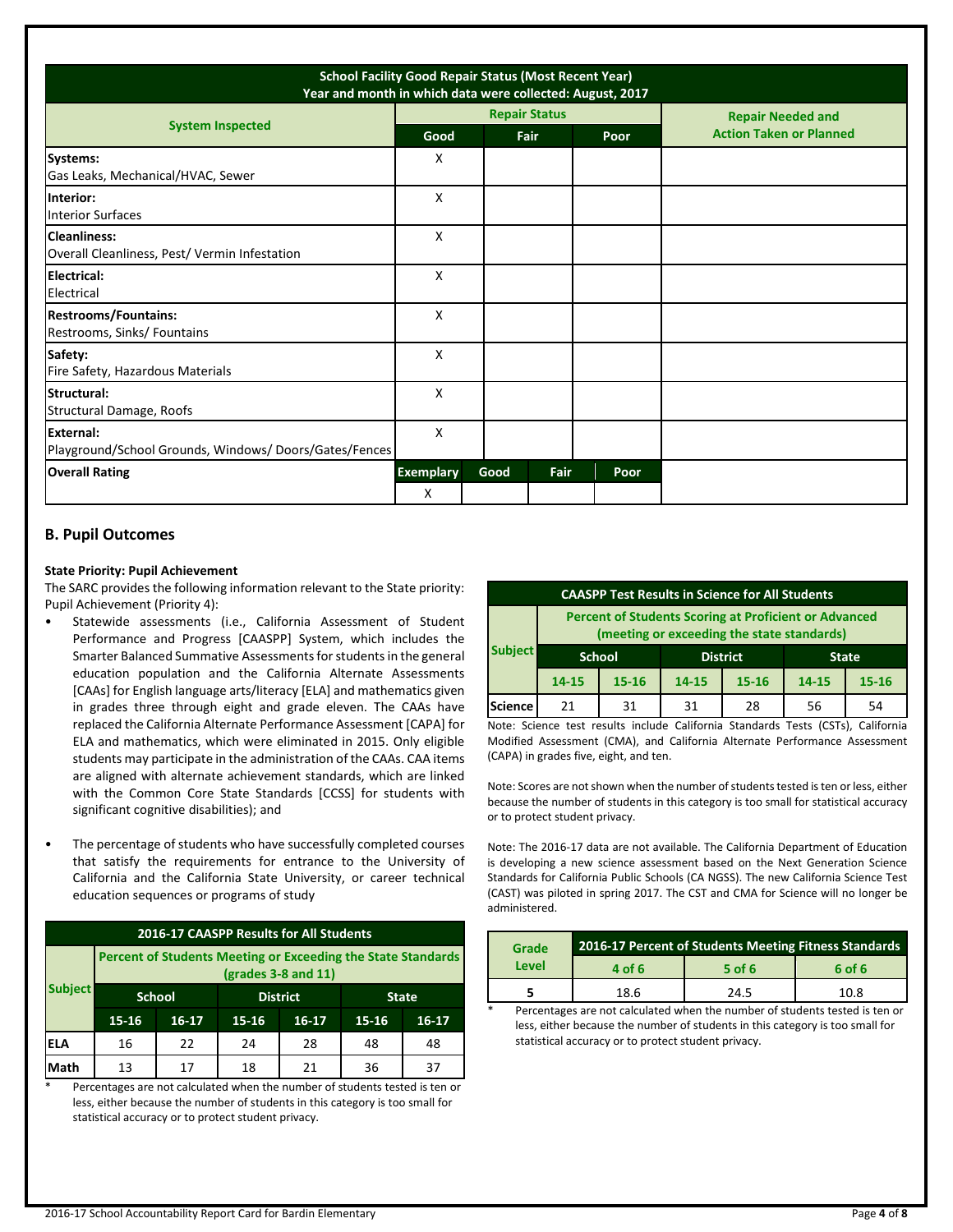| <b>School Facility Good Repair Status (Most Recent Year)</b><br>Year and month in which data were collected: August, 2017 |                       |      |      |                      |  |      |                                |
|---------------------------------------------------------------------------------------------------------------------------|-----------------------|------|------|----------------------|--|------|--------------------------------|
| <b>System Inspected</b>                                                                                                   |                       |      |      | <b>Repair Status</b> |  |      | <b>Repair Needed and</b>       |
|                                                                                                                           | Good                  |      | Fair |                      |  | Poor | <b>Action Taken or Planned</b> |
| Systems:<br>Gas Leaks, Mechanical/HVAC, Sewer                                                                             | x                     |      |      |                      |  |      |                                |
| Interior:<br><b>Interior Surfaces</b>                                                                                     | X                     |      |      |                      |  |      |                                |
| <b>Cleanliness:</b><br>Overall Cleanliness, Pest/ Vermin Infestation                                                      | X                     |      |      |                      |  |      |                                |
| Electrical:<br>Electrical                                                                                                 | X                     |      |      |                      |  |      |                                |
| <b>Restrooms/Fountains:</b><br>Restrooms, Sinks/ Fountains                                                                | X                     |      |      |                      |  |      |                                |
| Safety:<br>Fire Safety, Hazardous Materials                                                                               | X                     |      |      |                      |  |      |                                |
| Structural:<br>Structural Damage, Roofs                                                                                   | X                     |      |      |                      |  |      |                                |
| External:<br>Playground/School Grounds, Windows/Doors/Gates/Fences                                                        | X                     |      |      |                      |  |      |                                |
| <b>Overall Rating</b>                                                                                                     | <b>Exemplary</b><br>X | Good |      | Fair                 |  | Poor |                                |

## **B. Pupil Outcomes**

#### **State Priority: Pupil Achievement**

The SARC provides the following information relevant to the State priority: Pupil Achievement (Priority 4):

- Statewide assessments (i.e., California Assessment of Student Performance and Progress [CAASPP] System, which includes the Smarter Balanced Summative Assessments for students in the general education population and the California Alternate Assessments [CAAs] for English language arts/literacy [ELA] and mathematics given in grades three through eight and grade eleven. The CAAs have replaced the California Alternate Performance Assessment [CAPA] for ELA and mathematics, which were eliminated in 2015. Only eligible students may participate in the administration of the CAAs. CAA items are aligned with alternate achievement standards, which are linked with the Common Core State Standards [CCSS] for students with significant cognitive disabilities); and
- The percentage of students who have successfully completed courses that satisfy the requirements for entrance to the University of California and the California State University, or career technical education sequences or programs of study

| 2016-17 CAASPP Results for All Students |                                                                                       |                                                  |                                            |    |    |    |  |
|-----------------------------------------|---------------------------------------------------------------------------------------|--------------------------------------------------|--------------------------------------------|----|----|----|--|
|                                         | Percent of Students Meeting or Exceeding the State Standards<br>$(grades 3-8 and 11)$ |                                                  |                                            |    |    |    |  |
| <b>Subject</b>                          |                                                                                       | <b>School</b><br><b>District</b><br><b>State</b> |                                            |    |    |    |  |
|                                         | $15 - 16$                                                                             | 16-17                                            | 15-16<br>$16-17$<br>$15 - 16$<br>$16 - 17$ |    |    |    |  |
| <b>ELA</b>                              | 16                                                                                    | 22                                               | 24                                         | 28 | 48 | 48 |  |
| Math                                    | 13                                                                                    | 17                                               | 18                                         | 21 | 36 | 37 |  |

Percentages are not calculated when the number of students tested is ten or less, either because the number of students in this category is too small for statistical accuracy or to protect student privacy.

| <b>CAASPP Test Results in Science for All Students</b>                                                     |           |                                                  |                        |    |       |           |  |
|------------------------------------------------------------------------------------------------------------|-----------|--------------------------------------------------|------------------------|----|-------|-----------|--|
| <b>Percent of Students Scoring at Proficient or Advanced</b><br>(meeting or exceeding the state standards) |           |                                                  |                        |    |       |           |  |
| <b>Subject</b>                                                                                             |           | <b>School</b><br><b>District</b><br><b>State</b> |                        |    |       |           |  |
|                                                                                                            | $14 - 15$ | $15 - 16$                                        | $15 - 16$<br>$14 - 15$ |    | 14-15 | $15 - 16$ |  |
| <b>Science</b>                                                                                             | 21        | 31                                               | 31                     | 28 | 56    | 54        |  |

Note: Science test results include California Standards Tests (CSTs), California Modified Assessment (CMA), and California Alternate Performance Assessment (CAPA) in grades five, eight, and ten.

Note: Scores are not shown when the number of students tested is ten or less, either because the number of students in this category is too small for statistical accuracy or to protect student privacy.

Note: The 2016-17 data are not available. The California Department of Education is developing a new science assessment based on the Next Generation Science Standards for California Public Schools (CA NGSS). The new California Science Test (CAST) was piloted in spring 2017. The CST and CMA for Science will no longer be administered.

| Grade | 2016-17 Percent of Students Meeting Fitness Standards |        |        |  |  |  |
|-------|-------------------------------------------------------|--------|--------|--|--|--|
| Level | 4 of 6                                                | 5 of 6 | 6 of 6 |  |  |  |
|       | 18.6                                                  | 24.5   | 10.8   |  |  |  |
| ÷     | .                                                     |        |        |  |  |  |

Percentages are not calculated when the number of students tested is ten or less, either because the number of students in this category is too small for statistical accuracy or to protect student privacy.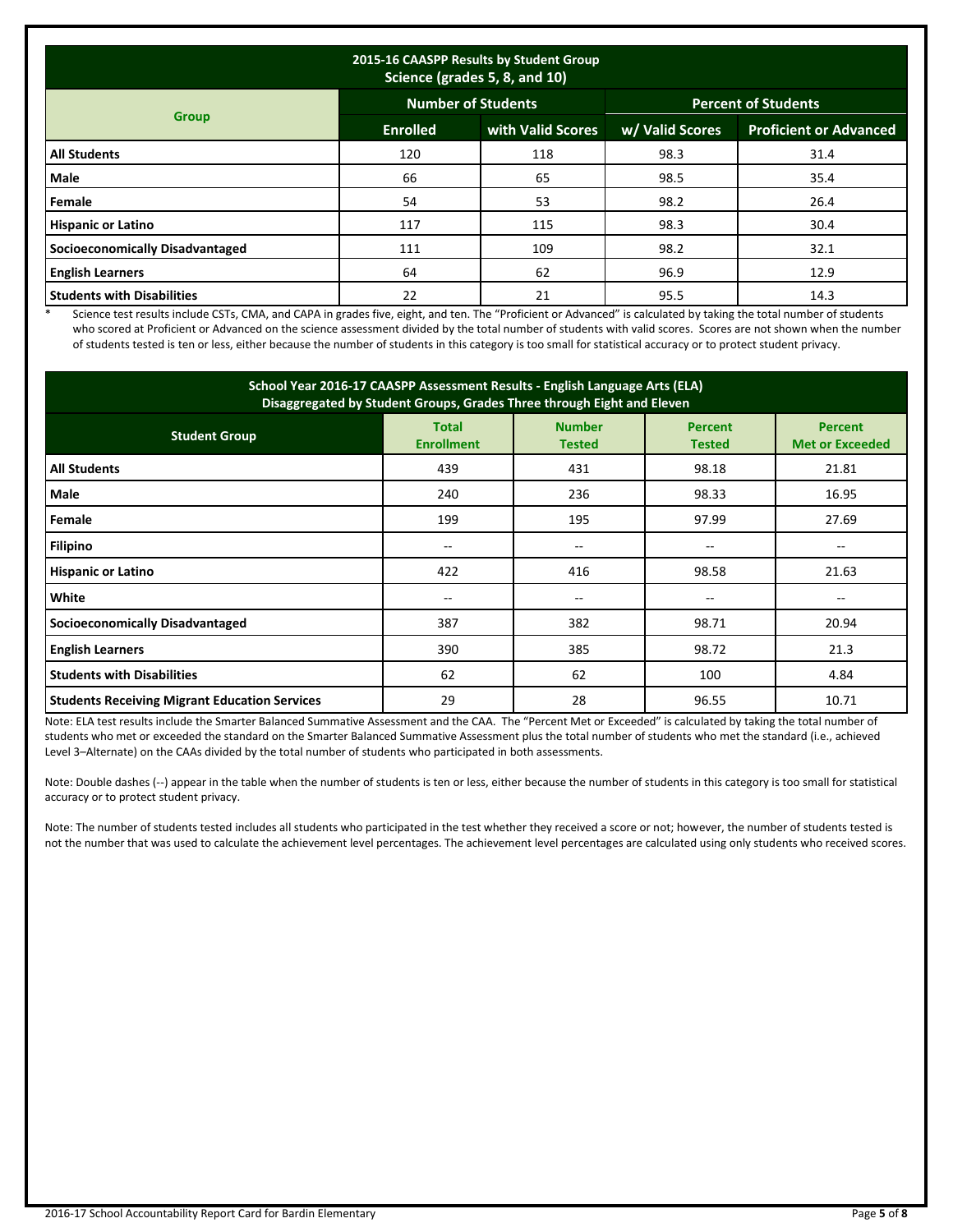| 2015-16 CAASPP Results by Student Group<br>Science (grades 5, 8, and 10) |                 |                           |                            |                               |  |  |
|--------------------------------------------------------------------------|-----------------|---------------------------|----------------------------|-------------------------------|--|--|
|                                                                          |                 | <b>Number of Students</b> | <b>Percent of Students</b> |                               |  |  |
| <b>Group</b>                                                             | <b>Enrolled</b> | with Valid Scores         | w/ Valid Scores            | <b>Proficient or Advanced</b> |  |  |
| <b>All Students</b>                                                      | 120             | 118                       | 98.3                       | 31.4                          |  |  |
| Male                                                                     | 66              | 65                        | 98.5                       | 35.4                          |  |  |
| Female                                                                   | 54              | 53                        | 98.2                       | 26.4                          |  |  |
| <b>Hispanic or Latino</b>                                                | 117             | 115                       | 98.3                       | 30.4                          |  |  |
| <b>Socioeconomically Disadvantaged</b>                                   | 111             | 109                       | 98.2                       | 32.1                          |  |  |
| <b>English Learners</b>                                                  | 64              | 62                        | 96.9                       | 12.9                          |  |  |
| <b>Students with Disabilities</b>                                        | 22              | 21                        | 95.5                       | 14.3                          |  |  |

\* Science test results include CSTs, CMA, and CAPA in grades five, eight, and ten. The "Proficient or Advanced" is calculated by taking the total number of students who scored at Proficient or Advanced on the science assessment divided by the total number of students with valid scores. Scores are not shown when the number of students tested is ten or less, either because the number of students in this category is too small for statistical accuracy or to protect student privacy.

| School Year 2016-17 CAASPP Assessment Results - English Language Arts (ELA)<br>Disaggregated by Student Groups, Grades Three through Eight and Eleven                      |       |       |       |       |  |  |  |
|----------------------------------------------------------------------------------------------------------------------------------------------------------------------------|-------|-------|-------|-------|--|--|--|
| <b>Number</b><br><b>Total</b><br><b>Percent</b><br><b>Percent</b><br><b>Student Group</b><br><b>Enrollment</b><br><b>Met or Exceeded</b><br><b>Tested</b><br><b>Tested</b> |       |       |       |       |  |  |  |
| <b>All Students</b>                                                                                                                                                        | 439   | 431   | 98.18 | 21.81 |  |  |  |
| Male                                                                                                                                                                       | 240   | 236   | 98.33 | 16.95 |  |  |  |
| Female                                                                                                                                                                     | 199   | 195   | 97.99 | 27.69 |  |  |  |
| Filipino                                                                                                                                                                   |       | $- -$ |       |       |  |  |  |
| <b>Hispanic or Latino</b>                                                                                                                                                  | 422   | 416   | 98.58 | 21.63 |  |  |  |
| White                                                                                                                                                                      | $- -$ | --    | --    | $- -$ |  |  |  |
| <b>Socioeconomically Disadvantaged</b>                                                                                                                                     | 387   | 382   | 98.71 | 20.94 |  |  |  |
| <b>English Learners</b>                                                                                                                                                    | 390   | 385   | 98.72 | 21.3  |  |  |  |
| <b>Students with Disabilities</b>                                                                                                                                          | 62    | 62    | 100   | 4.84  |  |  |  |
| <b>Students Receiving Migrant Education Services</b>                                                                                                                       | 29    | 28    | 96.55 | 10.71 |  |  |  |

Note: ELA test results include the Smarter Balanced Summative Assessment and the CAA. The "Percent Met or Exceeded" is calculated by taking the total number of students who met or exceeded the standard on the Smarter Balanced Summative Assessment plus the total number of students who met the standard (i.e., achieved Level 3–Alternate) on the CAAs divided by the total number of students who participated in both assessments.

Note: Double dashes (--) appear in the table when the number of students is ten or less, either because the number of students in this category is too small for statistical accuracy or to protect student privacy.

Note: The number of students tested includes all students who participated in the test whether they received a score or not; however, the number of students tested is not the number that was used to calculate the achievement level percentages. The achievement level percentages are calculated using only students who received scores.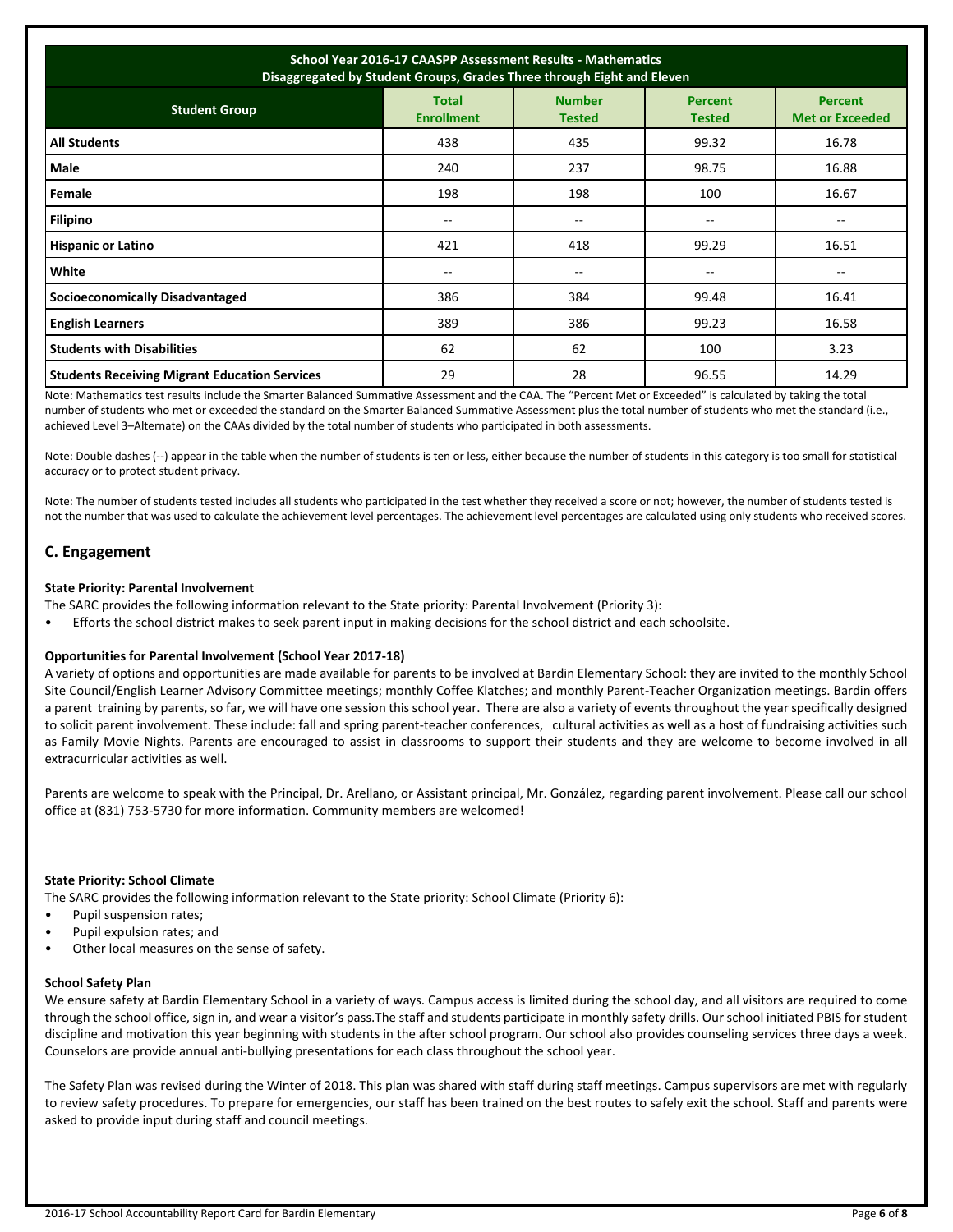| School Year 2016-17 CAASPP Assessment Results - Mathematics<br>Disaggregated by Student Groups, Grades Three through Eight and Eleven |                                   |                                |                                 |                                          |  |  |
|---------------------------------------------------------------------------------------------------------------------------------------|-----------------------------------|--------------------------------|---------------------------------|------------------------------------------|--|--|
| <b>Student Group</b>                                                                                                                  | <b>Total</b><br><b>Enrollment</b> | <b>Number</b><br><b>Tested</b> | <b>Percent</b><br><b>Tested</b> | <b>Percent</b><br><b>Met or Exceeded</b> |  |  |
| <b>All Students</b>                                                                                                                   | 438                               | 435                            | 99.32                           | 16.78                                    |  |  |
| Male                                                                                                                                  | 240                               | 237                            | 98.75                           | 16.88                                    |  |  |
| Female                                                                                                                                | 198                               | 198                            | 100                             | 16.67                                    |  |  |
| <b>Filipino</b>                                                                                                                       | $\overline{\phantom{m}}$          | $- -$                          | $-$                             | $-$                                      |  |  |
| <b>Hispanic or Latino</b>                                                                                                             | 421                               | 418                            | 99.29                           | 16.51                                    |  |  |
| White                                                                                                                                 | $- -$                             | --                             | --                              |                                          |  |  |
| <b>Socioeconomically Disadvantaged</b>                                                                                                | 386                               | 384                            | 99.48                           | 16.41                                    |  |  |
| <b>English Learners</b>                                                                                                               | 389                               | 386                            | 99.23                           | 16.58                                    |  |  |
| <b>Students with Disabilities</b>                                                                                                     | 62                                | 62                             | 100                             | 3.23                                     |  |  |
| <b>Students Receiving Migrant Education Services</b>                                                                                  | 29                                | 28                             | 96.55                           | 14.29                                    |  |  |

Note: Mathematics test results include the Smarter Balanced Summative Assessment and the CAA. The "Percent Met or Exceeded" is calculated by taking the total number of students who met or exceeded the standard on the Smarter Balanced Summative Assessment plus the total number of students who met the standard (i.e., achieved Level 3–Alternate) on the CAAs divided by the total number of students who participated in both assessments.

Note: Double dashes (--) appear in the table when the number of students is ten or less, either because the number of students in this category is too small for statistical accuracy or to protect student privacy.

Note: The number of students tested includes all students who participated in the test whether they received a score or not; however, the number of students tested is not the number that was used to calculate the achievement level percentages. The achievement level percentages are calculated using only students who received scores.

## **C. Engagement**

#### **State Priority: Parental Involvement**

The SARC provides the following information relevant to the State priority: Parental Involvement (Priority 3):

• Efforts the school district makes to seek parent input in making decisions for the school district and each schoolsite.

#### **Opportunities for Parental Involvement (School Year 2017-18)**

A variety of options and opportunities are made available for parents to be involved at Bardin Elementary School: they are invited to the monthly School Site Council/English Learner Advisory Committee meetings; monthly Coffee Klatches; and monthly Parent-Teacher Organization meetings. Bardin offers a parent training by parents, so far, we will have one session this school year. There are also a variety of events throughout the year specifically designed to solicit parent involvement. These include: fall and spring parent-teacher conferences, cultural activities as well as a host of fundraising activities such as Family Movie Nights. Parents are encouraged to assist in classrooms to support their students and they are welcome to become involved in all extracurricular activities as well.

Parents are welcome to speak with the Principal, Dr. Arellano, or Assistant principal, Mr. González, regarding parent involvement. Please call our school office at (831) 753-5730 for more information. Community members are welcomed!

#### **State Priority: School Climate**

The SARC provides the following information relevant to the State priority: School Climate (Priority 6):

- Pupil suspension rates;
- Pupil expulsion rates; and
- Other local measures on the sense of safety.

#### **School Safety Plan**

We ensure safety at Bardin Elementary School in a variety of ways. Campus access is limited during the school day, and all visitors are required to come through the school office, sign in, and wear a visitor's pass.The staff and students participate in monthly safety drills. Our school initiated PBIS for student discipline and motivation this year beginning with students in the after school program. Our school also provides counseling services three days a week. Counselors are provide annual anti-bullying presentations for each class throughout the school year.

The Safety Plan was revised during the Winter of 2018. This plan was shared with staff during staff meetings. Campus supervisors are met with regularly to review safety procedures. To prepare for emergencies, our staff has been trained on the best routes to safely exit the school. Staff and parents were asked to provide input during staff and council meetings.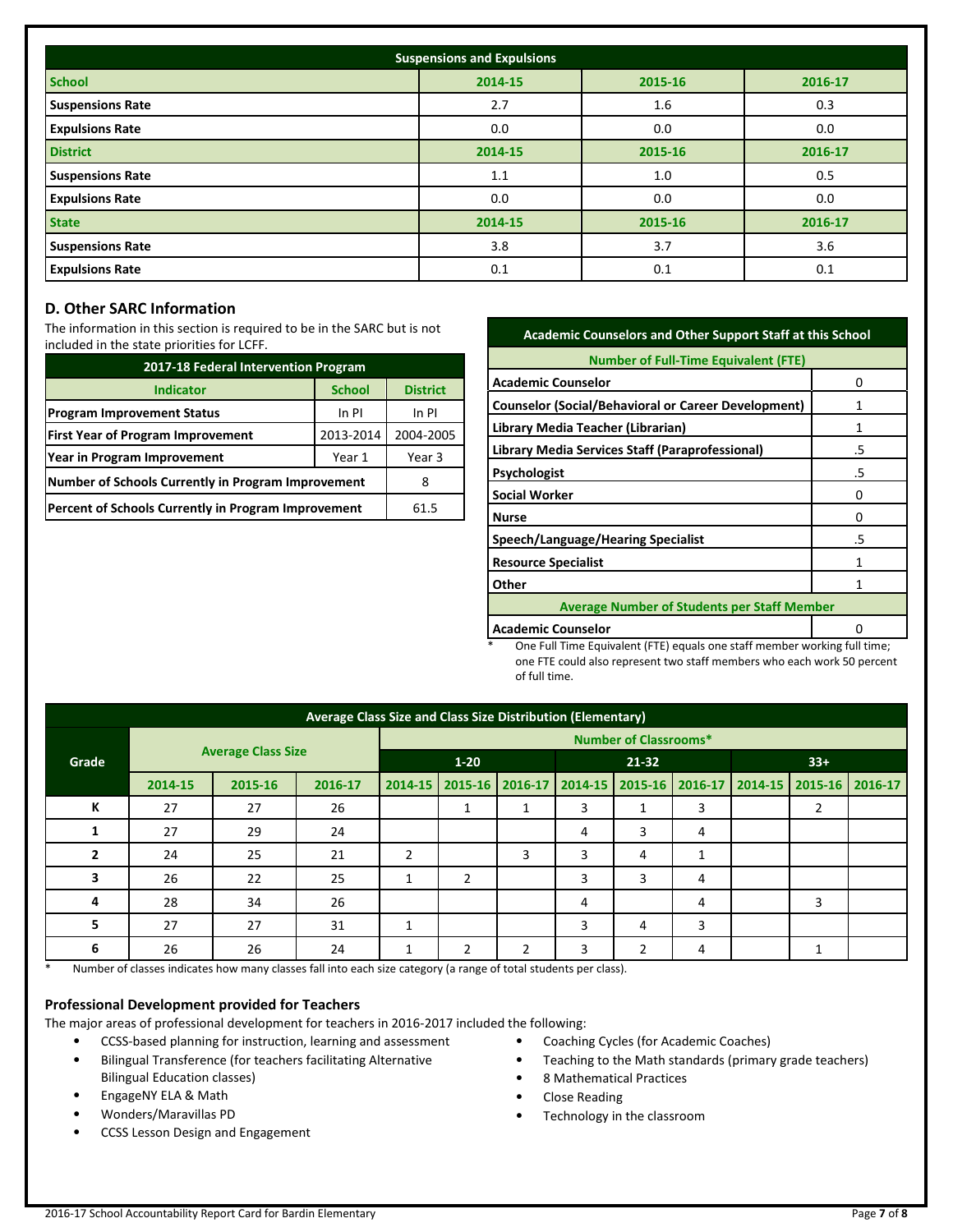| <b>Suspensions and Expulsions</b> |         |         |         |  |  |  |
|-----------------------------------|---------|---------|---------|--|--|--|
| <b>School</b>                     | 2014-15 | 2015-16 | 2016-17 |  |  |  |
| <b>Suspensions Rate</b>           | 2.7     | 1.6     | 0.3     |  |  |  |
| <b>Expulsions Rate</b>            | 0.0     | 0.0     | 0.0     |  |  |  |
| <b>District</b>                   | 2014-15 | 2015-16 | 2016-17 |  |  |  |
| <b>Suspensions Rate</b>           | 1.1     | 1.0     | 0.5     |  |  |  |
| <b>Expulsions Rate</b>            | 0.0     | 0.0     | 0.0     |  |  |  |
| <b>State</b>                      | 2014-15 | 2015-16 | 2016-17 |  |  |  |
| <b>Suspensions Rate</b>           | 3.8     | 3.7     | 3.6     |  |  |  |
| <b>Expulsions Rate</b>            | 0.1     | 0.1     | 0.1     |  |  |  |

## **D. Other SARC Information**

The information in this section is required to be in the SARC but is not included in the state priorities for LCFF.

| 2017-18 Federal Intervention Program                |               |                 |  |  |  |
|-----------------------------------------------------|---------------|-----------------|--|--|--|
| <b>Indicator</b>                                    | <b>School</b> | <b>District</b> |  |  |  |
| <b>Program Improvement Status</b>                   | In PI         |                 |  |  |  |
| <b>First Year of Program Improvement</b>            | 2004-2005     |                 |  |  |  |
| Year in Program Improvement                         | Year 3        |                 |  |  |  |
| Number of Schools Currently in Program Improvement  | 8             |                 |  |  |  |
| Percent of Schools Currently in Program Improvement | 61.5          |                 |  |  |  |

| <b>Academic Counselors and Other Support Staff at this School</b> |    |  |  |  |  |
|-------------------------------------------------------------------|----|--|--|--|--|
| <b>Number of Full-Time Equivalent (FTE)</b>                       |    |  |  |  |  |
| <b>Academic Counselor</b>                                         | o  |  |  |  |  |
| <b>Counselor (Social/Behavioral or Career Development)</b>        |    |  |  |  |  |
| Library Media Teacher (Librarian)                                 | 1  |  |  |  |  |
| Library Media Services Staff (Paraprofessional)                   | .5 |  |  |  |  |
| <b>Psychologist</b>                                               | .5 |  |  |  |  |
| <b>Social Worker</b>                                              | o  |  |  |  |  |
| <b>Nurse</b>                                                      | O  |  |  |  |  |
| Speech/Language/Hearing Specialist                                | .5 |  |  |  |  |
| <b>Resource Specialist</b>                                        | 1  |  |  |  |  |
| Other                                                             |    |  |  |  |  |
| <b>Average Number of Students per Staff Member</b>                |    |  |  |  |  |
| <b>Academic Counselor</b><br>n                                    |    |  |  |  |  |

One Full Time Equivalent (FTE) equals one staff member working full time; one FTE could also represent two staff members who each work 50 percent of full time.

| Average Class Size and Class Size Distribution (Elementary) |         |                           |                              |                |   |   |                                                                 |   |              |  |   |  |
|-------------------------------------------------------------|---------|---------------------------|------------------------------|----------------|---|---|-----------------------------------------------------------------|---|--------------|--|---|--|
|                                                             |         |                           | <b>Number of Classrooms*</b> |                |   |   |                                                                 |   |              |  |   |  |
| Grade                                                       |         | <b>Average Class Size</b> |                              | $1 - 20$       |   |   | $21 - 32$                                                       |   | $33+$        |  |   |  |
|                                                             | 2014-15 | 2015-16                   | 2016-17                      | 2014-15        |   |   | 2015-16 2016-17 2014-15 2015-16 2016-17 2014-15 2015-16 2016-17 |   |              |  |   |  |
| К                                                           | 27      | 27                        | 26                           |                | 1 | 1 | 3                                                               | 1 | 3            |  |   |  |
|                                                             | 27      | 29                        | 24                           |                |   |   | 4                                                               | 3 | 4            |  |   |  |
|                                                             | 24      | 25                        | 21                           | $\overline{2}$ |   | 3 | 3                                                               | 4 | $\mathbf{1}$ |  |   |  |
|                                                             | 26      | 22                        | 25                           |                | 2 |   | 3                                                               | 3 | 4            |  |   |  |
| 4                                                           | 28      | 34                        | 26                           |                |   |   | 4                                                               |   | 4            |  | 3 |  |
| 5                                                           | 27      | 27                        | 31                           |                |   |   | 3                                                               | 4 | 3            |  |   |  |
| 6                                                           | 26      | 26                        | 24                           |                | 2 | 2 | 3                                                               | 2 | 4            |  |   |  |

\* Number of classes indicates how many classes fall into each size category (a range of total students per class).

#### **Professional Development provided for Teachers**

The major areas of professional development for teachers in 2016-2017 included the following:

- CCSS-based planning for instruction, learning and assessment • Bilingual Transference (for teachers facilitating Alternative
- Bilingual Education classes) • EngageNY ELA & Math
- Wonders/Maravillas PD
- CCSS Lesson Design and Engagement
- Coaching Cycles (for Academic Coaches)
- Teaching to the Math standards (primary grade teachers)
- 8 Mathematical Practices
- Close Reading
- Technology in the classroom